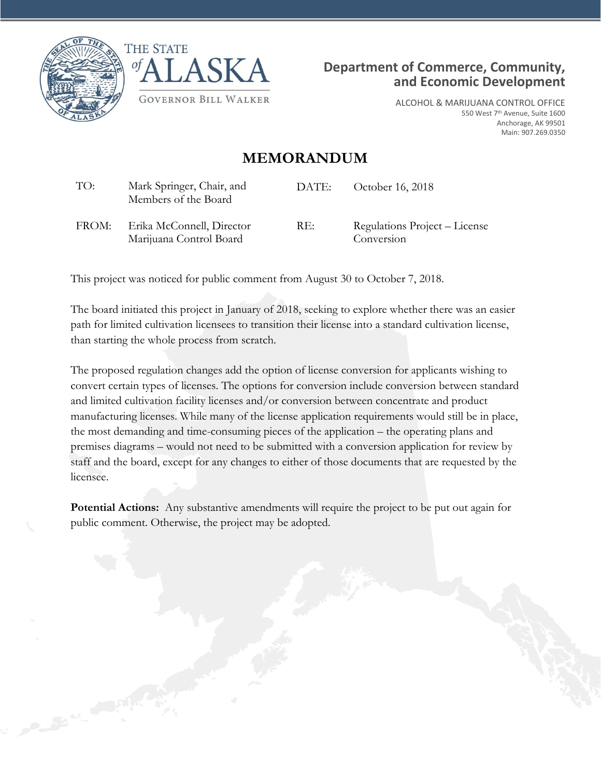





ALCOHOL & MARIJUANA CONTROL OFFICE 550 West 7<sup>th</sup> Avenue, Suite 1600 Anchorage, AK 99501 Main: 907.269.0350

## **MEMORANDUM**

| TO:   | Mark Springer, Chair, and<br>Members of the Board    | DATE: | October 16, 2018                            |
|-------|------------------------------------------------------|-------|---------------------------------------------|
| FROM: | Erika McConnell, Director<br>Marijuana Control Board | RE:   | Regulations Project – License<br>Conversion |

This project was noticed for public comment from August 30 to October 7, 2018.

The board initiated this project in January of 2018, seeking to explore whether there was an easier path for limited cultivation licensees to transition their license into a standard cultivation license, than starting the whole process from scratch.

The proposed regulation changes add the option of license conversion for applicants wishing to convert certain types of licenses. The options for conversion include conversion between standard and limited cultivation facility licenses and/or conversion between concentrate and product manufacturing licenses. While many of the license application requirements would still be in place, the most demanding and time-consuming pieces of the application – the operating plans and premises diagrams – would not need to be submitted with a conversion application for review by staff and the board, except for any changes to either of those documents that are requested by the licensee.

**Potential Actions:** Any substantive amendments will require the project to be put out again for public comment. Otherwise, the project may be adopted.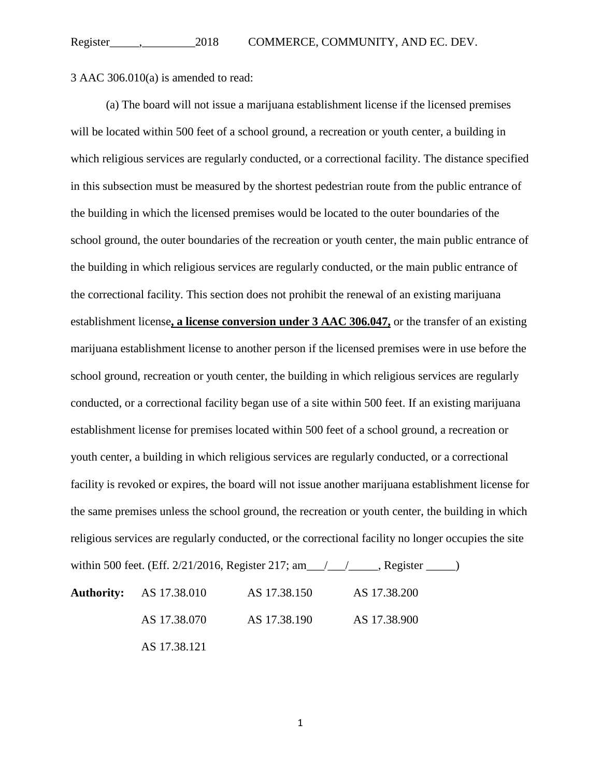3 AAC 306.010(a) is amended to read:

(a) The board will not issue a marijuana establishment license if the licensed premises will be located within 500 feet of a school ground, a recreation or youth center, a building in which religious services are regularly conducted, or a correctional facility. The distance specified in this subsection must be measured by the shortest pedestrian route from the public entrance of the building in which the licensed premises would be located to the outer boundaries of the school ground, the outer boundaries of the recreation or youth center, the main public entrance of the building in which religious services are regularly conducted, or the main public entrance of the correctional facility. This section does not prohibit the renewal of an existing marijuana establishment license**, a license conversion under 3 AAC 306.047,** or the transfer of an existing marijuana establishment license to another person if the licensed premises were in use before the school ground, recreation or youth center, the building in which religious services are regularly conducted, or a correctional facility began use of a site within 500 feet. If an existing marijuana establishment license for premises located within 500 feet of a school ground, a recreation or youth center, a building in which religious services are regularly conducted, or a correctional facility is revoked or expires, the board will not issue another marijuana establishment license for the same premises unless the school ground, the recreation or youth center, the building in which religious services are regularly conducted, or the correctional facility no longer occupies the site within 500 feet. (Eff. 2/21/2016, Register 217; am\_\_\_/\_\_\_/\_\_\_\_, Register \_\_\_\_\_)

| <b>Authority:</b> AS 17.38.010 | AS 17.38.150 | AS 17.38.200 |
|--------------------------------|--------------|--------------|
| AS 17.38.070                   | AS 17.38.190 | AS 17.38.900 |
| AS 17.38.121                   |              |              |

1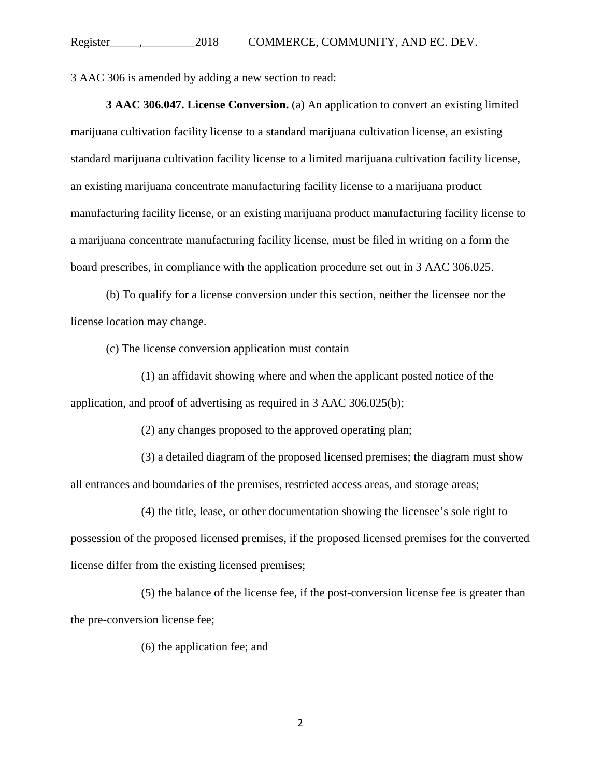3 AAC 306 is amended by adding a new section to read:

**3 AAC 306.047. License Conversion.** (a) An application to convert an existing limited marijuana cultivation facility license to a standard marijuana cultivation license, an existing standard marijuana cultivation facility license to a limited marijuana cultivation facility license, an existing marijuana concentrate manufacturing facility license to a marijuana product manufacturing facility license, or an existing marijuana product manufacturing facility license to a marijuana concentrate manufacturing facility license, must be filed in writing on a form the board prescribes, in compliance with the application procedure set out in 3 AAC 306.025.

(b) To qualify for a license conversion under this section, neither the licensee nor the license location may change.

(c) The license conversion application must contain

(1) an affidavit showing where and when the applicant posted notice of the application, and proof of advertising as required in 3 AAC 306.025(b);

(2) any changes proposed to the approved operating plan;

(3) a detailed diagram of the proposed licensed premises; the diagram must show all entrances and boundaries of the premises, restricted access areas, and storage areas;

(4) the title, lease, or other documentation showing the licensee's sole right to possession of the proposed licensed premises, if the proposed licensed premises for the converted license differ from the existing licensed premises;

(5) the balance of the license fee, if the post-conversion license fee is greater than the pre-conversion license fee;

(6) the application fee; and

2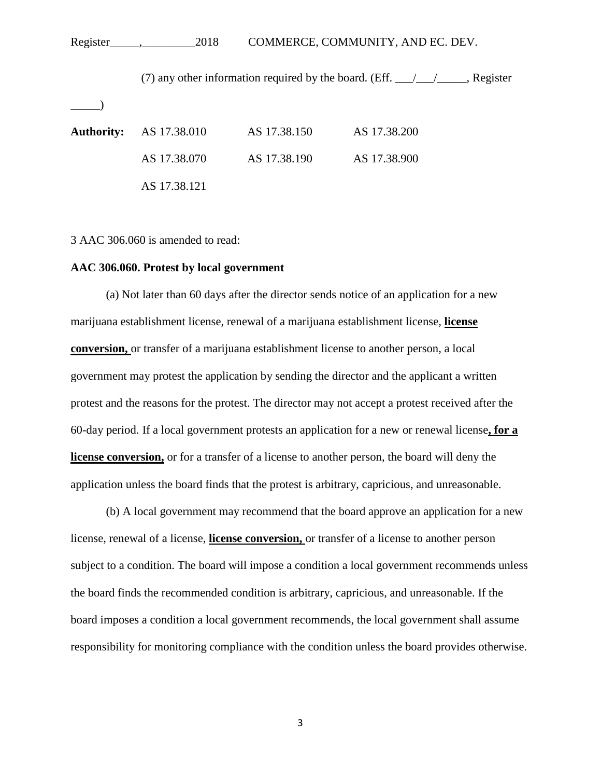## Register\_\_\_\_\_,\_\_\_\_\_\_\_\_\_2018 COMMERCE, COMMUNITY, AND EC. DEV.

(7) any other information required by the board. (Eff.  $\frac{\sqrt{2}}{2}$ , Register  $\rule{1em}{0.15mm}$ **Authority:** AS 17.38.010 AS 17.38.150 AS 17.38.200 AS 17.38.070 AS 17.38.190 AS 17.38.900 AS 17.38.121

3 AAC 306.060 is amended to read:

## **AAC 306.060. Protest by local government**

(a) Not later than 60 days after the director sends notice of an application for a new marijuana establishment license, renewal of a marijuana establishment license, **license conversion,** or transfer of a marijuana establishment license to another person, a local government may protest the application by sending the director and the applicant a written protest and the reasons for the protest. The director may not accept a protest received after the 60-day period. If a local government protests an application for a new or renewal license**, for a license conversion,** or for a transfer of a license to another person, the board will deny the application unless the board finds that the protest is arbitrary, capricious, and unreasonable.

(b) A local government may recommend that the board approve an application for a new license, renewal of a license, **license conversion,** or transfer of a license to another person subject to a condition. The board will impose a condition a local government recommends unless the board finds the recommended condition is arbitrary, capricious, and unreasonable. If the board imposes a condition a local government recommends, the local government shall assume responsibility for monitoring compliance with the condition unless the board provides otherwise.

3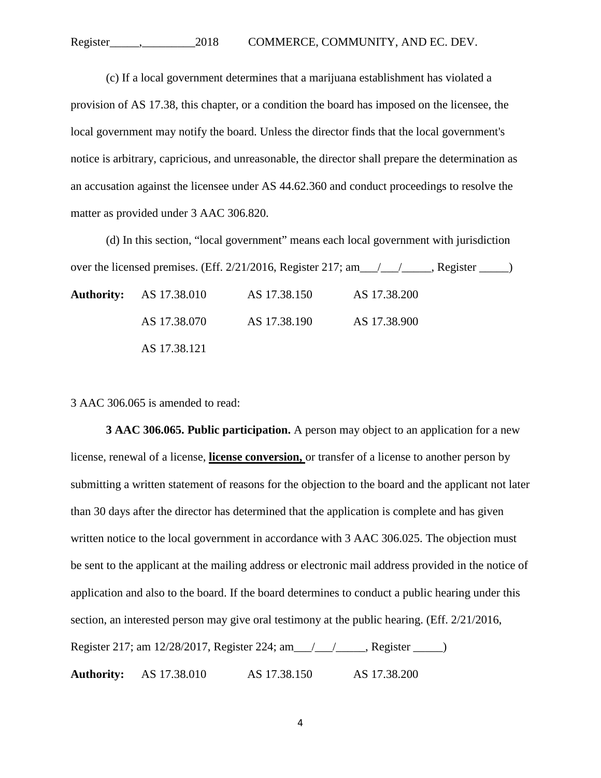(c) If a local government determines that a marijuana establishment has violated a provision of AS 17.38, this chapter, or a condition the board has imposed on the licensee, the local government may notify the board. Unless the director finds that the local government's notice is arbitrary, capricious, and unreasonable, the director shall prepare the determination as an accusation against the licensee under AS 44.62.360 and conduct proceedings to resolve the matter as provided under 3 AAC 306.820.

(d) In this section, "local government" means each local government with jurisdiction over the licensed premises. (Eff.  $2/21/2016$ , Register  $217$ ; am  $\_\_\_\_\_\_\_\_\_\_\_\_\_\_\_\_\_\_\_\_\_\_\_\_\_\_\_\_\_$ 

| <b>Authority:</b> AS 17.38.010 | AS 17.38.150 | AS 17.38.200 |  |
|--------------------------------|--------------|--------------|--|
| AS 17.38.070                   | AS 17.38.190 | AS 17.38.900 |  |
| AS 17.38.121                   |              |              |  |

3 AAC 306.065 is amended to read:

**3 AAC 306.065. Public participation.** A person may object to an application for a new license, renewal of a license, **license conversion,** or transfer of a license to another person by submitting a written statement of reasons for the objection to the board and the applicant not later than 30 days after the director has determined that the application is complete and has given written notice to the local government in accordance with 3 AAC 306.025. The objection must be sent to the applicant at the mailing address or electronic mail address provided in the notice of application and also to the board. If the board determines to conduct a public hearing under this section, an interested person may give oral testimony at the public hearing. (Eff. 2/21/2016, Register 217; am 12/28/2017, Register 224; am\_\_\_/\_\_\_/\_\_\_\_\_, Register \_\_\_\_\_) **Authority:** AS 17.38.010 AS 17.38.150 AS 17.38.200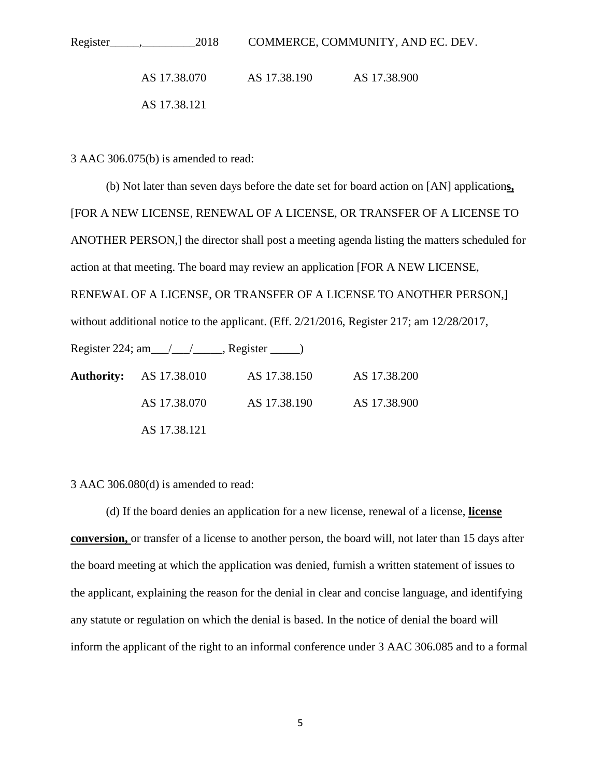| 2018         | COMMERCE, COMMUNITY, AND EC. DEV. |              |  |
|--------------|-----------------------------------|--------------|--|
| AS 17.38.070 | AS 17.38.190                      | AS 17.38.900 |  |
| AS 17.38.121 |                                   |              |  |

3 AAC 306.075(b) is amended to read:

(b) Not later than seven days before the date set for board action on [AN] application**s,** [FOR A NEW LICENSE, RENEWAL OF A LICENSE, OR TRANSFER OF A LICENSE TO ANOTHER PERSON,] the director shall post a meeting agenda listing the matters scheduled for action at that meeting. The board may review an application [FOR A NEW LICENSE, RENEWAL OF A LICENSE, OR TRANSFER OF A LICENSE TO ANOTHER PERSON,] without additional notice to the applicant. (Eff. 2/21/2016, Register 217; am 12/28/2017, Register 224; am\_\_\_/\_\_\_/\_\_\_\_\_, Register \_\_\_\_\_) **Authority:** AS 17.38.010 AS 17.38.150 AS 17.38.200 AS 17.38.070 AS 17.38.190 AS 17.38.900 AS 17.38.121

3 AAC 306.080(d) is amended to read:

(d) If the board denies an application for a new license, renewal of a license, **license conversion,** or transfer of a license to another person, the board will, not later than 15 days after the board meeting at which the application was denied, furnish a written statement of issues to the applicant, explaining the reason for the denial in clear and concise language, and identifying any statute or regulation on which the denial is based. In the notice of denial the board will inform the applicant of the right to an informal conference under 3 AAC 306.085 and to a formal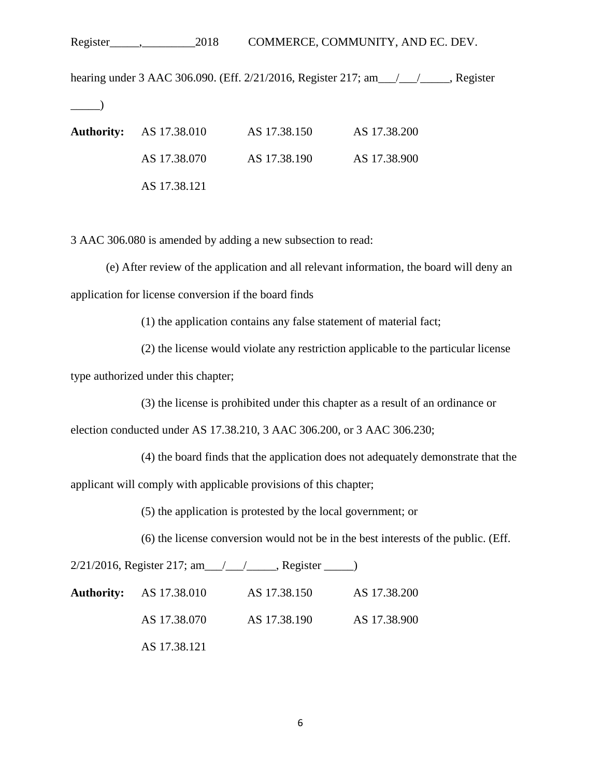Register\_\_\_\_\_,\_\_\_\_\_\_\_\_\_2018 COMMERCE, COMMUNITY, AND EC. DEV.

hearing under 3 AAC 306.090. (Eff. 2/21/2016, Register 217; am\_\_\_/\_\_\_/\_\_\_\_\_, Register  $\rightarrow$ **Authority:** AS 17.38.010 AS 17.38.150 AS 17.38.200

AS 17.38.070 AS 17.38.190 AS 17.38.900 AS 17.38.121

3 AAC 306.080 is amended by adding a new subsection to read:

(e) After review of the application and all relevant information, the board will deny an application for license conversion if the board finds

(1) the application contains any false statement of material fact;

(2) the license would violate any restriction applicable to the particular license type authorized under this chapter;

(3) the license is prohibited under this chapter as a result of an ordinance or

election conducted under AS 17.38.210, 3 AAC 306.200, or 3 AAC 306.230;

(4) the board finds that the application does not adequately demonstrate that the

applicant will comply with applicable provisions of this chapter;

(5) the application is protested by the local government; or

(6) the license conversion would not be in the best interests of the public. (Eff.

2/21/2016, Register 217; am\_\_\_/\_\_\_/\_\_\_\_\_, Register \_\_\_\_\_)

| <b>Authority:</b> AS 17.38.010 | AS 17.38.150 | AS 17.38.200 |
|--------------------------------|--------------|--------------|
| AS 17.38.070                   | AS 17.38.190 | AS 17.38.900 |
| AS 17.38.121                   |              |              |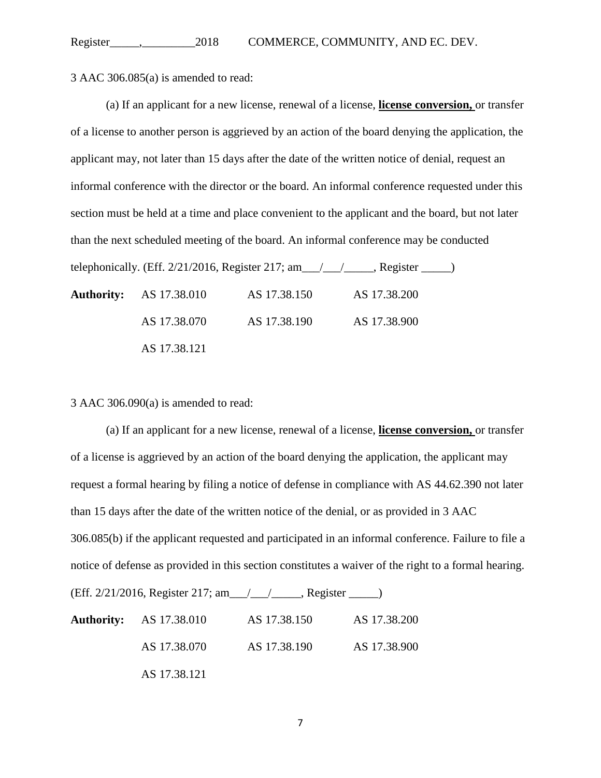3 AAC 306.085(a) is amended to read:

(a) If an applicant for a new license, renewal of a license, **license conversion,** or transfer of a license to another person is aggrieved by an action of the board denying the application, the applicant may, not later than 15 days after the date of the written notice of denial, request an informal conference with the director or the board. An informal conference requested under this section must be held at a time and place convenient to the applicant and the board, but not later than the next scheduled meeting of the board. An informal conference may be conducted telephonically. (Eff. 2/21/2016, Register 217; am\_\_\_/\_\_\_/\_\_\_\_\_, Register \_\_\_\_\_)

| <b>Authority:</b> AS 17.38.010 | AS 17.38.150 | AS 17.38.200 |
|--------------------------------|--------------|--------------|
| AS 17.38.070                   | AS 17.38.190 | AS 17.38.900 |
| AS 17.38.121                   |              |              |

3 AAC 306.090(a) is amended to read:

(a) If an applicant for a new license, renewal of a license, **license conversion,** or transfer of a license is aggrieved by an action of the board denying the application, the applicant may request a formal hearing by filing a notice of defense in compliance with AS 44.62.390 not later than 15 days after the date of the written notice of the denial, or as provided in 3 AAC 306.085(b) if the applicant requested and participated in an informal conference. Failure to file a notice of defense as provided in this section constitutes a waiver of the right to a formal hearing. (Eff. 2/21/2016, Register 217; am\_\_\_/\_\_\_/\_\_\_\_\_, Register \_\_\_\_\_)

| <b>Authority:</b> AS 17.38.010 | AS 17.38.150 | AS 17.38.200 |
|--------------------------------|--------------|--------------|
| AS 17.38.070                   | AS 17.38.190 | AS 17.38.900 |
| AS 17.38.121                   |              |              |